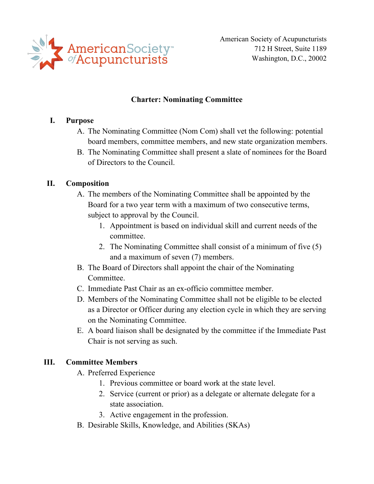

American Society of Acupuncturists 712 H Street, Suite 1189 Washington, D.C., 20002

### **Charter: Nominating Committee**

### **I. Purpose**

- A. The Nominating Committee (Nom Com) shall vet the following: potential board members, committee members, and new state organization members.
- B. The Nominating Committee shall present a slate of nominees for the Board of Directors to the Council.

### **II. Composition**

- A. The members of the Nominating Committee shall be appointed by the Board for a two year term with a maximum of two consecutive terms,
	- subject to approval by the Council.<br>1. Appointment is based on individual skill and current needs of the committee.
		- 2. The Nominating Committee shall consist of a minimum of five (5) and a maximum of seven (7) members.
- B. The Board of Directors shall appoint the chair of the Nominating Committee.
- C. Immediate Past Chair as an ex-officio committee member.
- D. Members of the Nominating Committee shall not be eligible to be elected as a Director or Officer during any election cycle in which they are serving on the Nominating Committee.
- E. A board liaison shall be designated by the committee if the Immediate Past Chair is not serving as such.

### **III. Committee Members**

- A. Preferred Experience
	- 1. Previous committee or board work at the state level.
	- 2. Service (current or prior) as a delegate or alternate delegate for a state association.
	- 3. Active engagement in the profession.
- B. Desirable Skills, Knowledge, and Abilities (SKAs)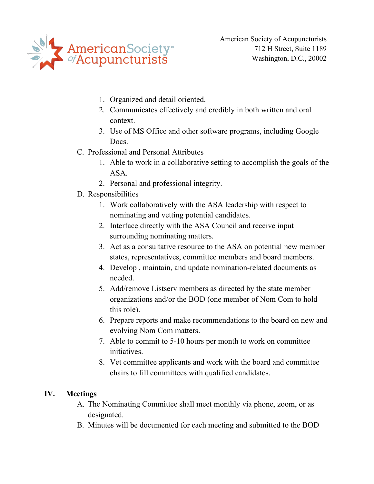

American Society of Acupuncturists 712 H Street, Suite 1189 Washington, D.C., 20002

- 1. Organized and detail oriented.
- 2. Communicates effectively and credibly in both written and oral context.
- 3. Use of MS Office and other software programs, including Google Docs.
- C. Professional and Personal Attributes
	- 1. Able to work in a collaborative setting to accomplish the goals of the ASA.
	- 2. Personal and professional integrity.
- D. Responsibilities
	- 1. Work collaboratively with the ASA leadership with respect to nominating and vetting potential candidates.
	- 2. Interface directly with the ASA Council and receive input surrounding nominating matters.
	- 3. Act as a consultative resource to the ASA on potential new member states, representatives, committee members and board members.
	- 4. Develop , maintain, and update nomination-related documents as needed.
	- 5. Add/remove Listserv members as directed by the state member organizations and/or the BOD (one member of Nom Com to hold this role).
	- 6. Prepare reports and make recommendations to the board on new and evolving Nom Com matters.
	- 7. Able to commit to 5-10 hours per month to work on committee initiatives.
	- 8. Vet committee applicants and work with the board and committee chairs to fill committees with qualified candidates.

# **IV. Meetings**

- A. The Nominating Committee shall meet monthly via phone, zoom, or as designated.
- B. Minutes will be documented for each meeting and submitted to the BOD